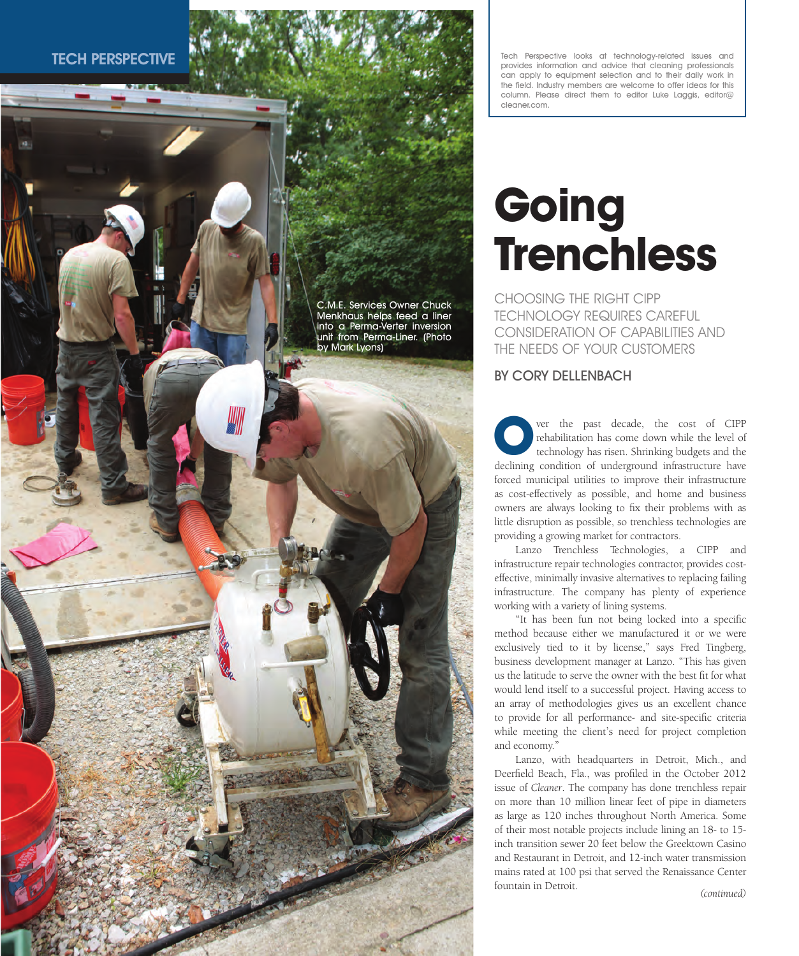TECH PERSPECTIVE

C.M.E. Services Owner Chuck Menkhaus helps feed a liner into a Perma-Verter inversion unit from Perma-Liner. (Photo by Mark Lyons)

Tech Perspective looks at technology-related issues and provides information and advice that cleaning professionals can apply to equipment selection and to their daily work in the field. Industry members are welcome to offer ideas for this column. Please direct them to editor Luke Laggis, editor@ cleaner.com.

# **Going Trenchless**

CHOOSING THE RIGHT CIPP TECHNOLOGY REQUIRES CAREFUL CONSIDERATION OF CAPABILITIES AND THE NEEDS OF YOUR CUSTOMERS

# BY CORY DELLENBACH

ver the past decade, the cost of CIPP rehabilitation has come down while the level of technology has risen. Shrinking budgets and the declining condition of underground infrastructure have forced municipal utilities to improve their infrastructure as cost-effectively as possible, and home and business owners are always looking to fix their problems with as little disruption as possible, so trenchless technologies are providing a growing market for contractors. **O**

Lanzo Trenchless Technologies, a CIPP and infrastructure repair technologies contractor, provides costeffective, minimally invasive alternatives to replacing failing infrastructure. The company has plenty of experience working with a variety of lining systems.

"It has been fun not being locked into a specific method because either we manufactured it or we were exclusively tied to it by license," says Fred Tingberg, business development manager at Lanzo. "This has given us the latitude to serve the owner with the best fit for what would lend itself to a successful project. Having access to an array of methodologies gives us an excellent chance to provide for all performance- and site-specific criteria while meeting the client's need for project completion and economy."

Lanzo, with headquarters in Detroit, Mich., and Deerfield Beach, Fla., was profiled in the October 2012 issue of *Cleaner*. The company has done trenchless repair on more than 10 million linear feet of pipe in diameters as large as 120 inches throughout North America. Some of their most notable projects include lining an 18- to 15 inch transition sewer 20 feet below the Greektown Casino and Restaurant in Detroit, and 12-inch water transmission mains rated at 100 psi that served the Renaissance Center fountain in Detroit.

*(continued)*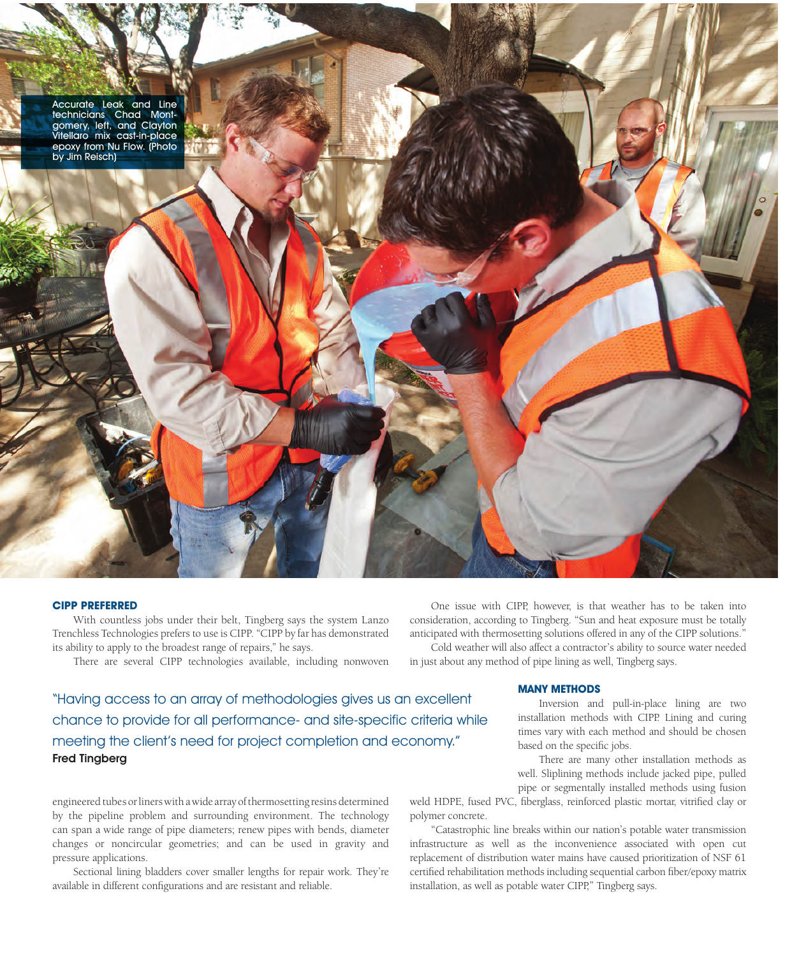

#### **CIPP PREFERRED**

With countless jobs under their belt, Tingberg says the system Lanzo Trenchless Technologies prefers to use is CIPP. "CIPP by far has demonstrated its ability to apply to the broadest range of repairs," he says.

There are several CIPP technologies available, including nonwoven

"Having access to an array of methodologies gives us an excellent chance to provide for all performance- and site-specific criteria while meeting the client's need for project completion and economy." Fred Tingberg

engineered tubes or liners with a wide array of thermosetting resins determined by the pipeline problem and surrounding environment. The technology can span a wide range of pipe diameters; renew pipes with bends, diameter changes or noncircular geometries; and can be used in gravity and pressure applications.

Sectional lining bladders cover smaller lengths for repair work. They're available in different configurations and are resistant and reliable.

One issue with CIPP, however, is that weather has to be taken into consideration, according to Tingberg. "Sun and heat exposure must be totally anticipated with thermosetting solutions offered in any of the CIPP solutions." Cold weather will also affect a contractor's ability to source water needed

in just about any method of pipe lining as well, Tingberg says.

## **MANY METHODS**

Inversion and pull-in-place lining are two installation methods with CIPP. Lining and curing times vary with each method and should be chosen based on the specific jobs.

There are many other installation methods as well. Sliplining methods include jacked pipe, pulled

pipe or segmentally installed methods using fusion weld HDPE, fused PVC, fiberglass, reinforced plastic mortar, vitrified clay or polymer concrete.

"Catastrophic line breaks within our nation's potable water transmission infrastructure as well as the inconvenience associated with open cut replacement of distribution water mains have caused prioritization of NSF 61 certified rehabilitation methods including sequential carbon fiber/epoxy matrix installation, as well as potable water CIPP," Tingberg says.